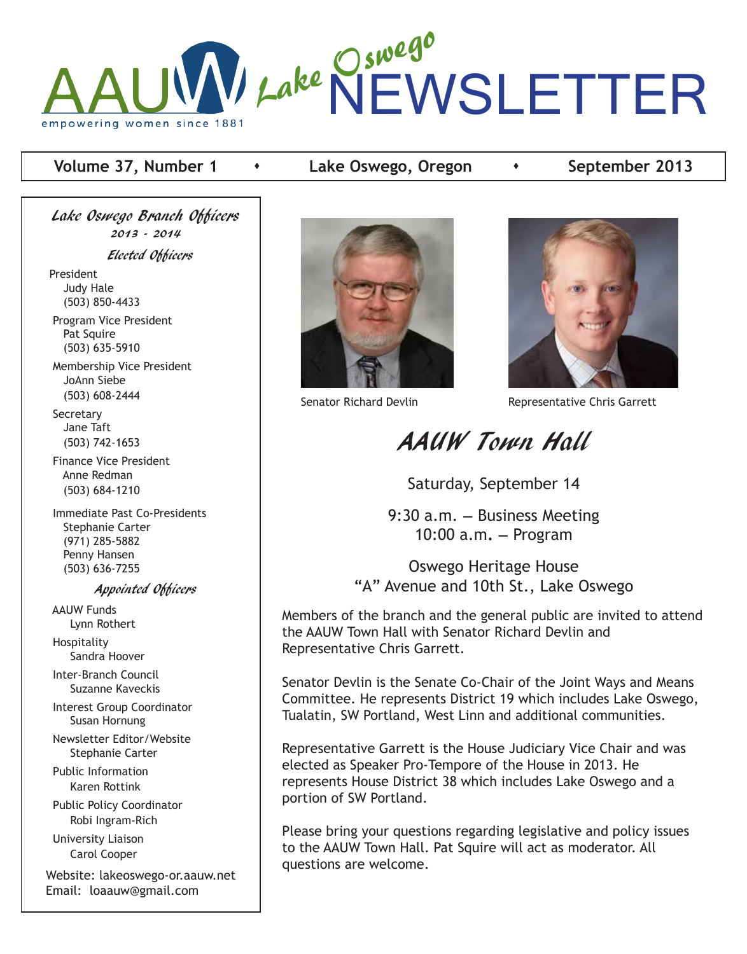

### **Volume 37, Number 1 Acke Oswego, Oregon Acker 2013**

Lake Oswego Branch Officers 2013 - 2014 Elected Officers President Judy Hale (503) 850-4433 Program Vice President Pat Squire (503) 635-5910

 Membership Vice President JoAnn Siebe (503) 608-2444

**Secretary**  Jane Taft (503) 742-1653

 Finance Vice President Anne Redman (503) 684-1210

 Immediate Past Co-Presidents Stephanie Carter (971) 285-5882 Penny Hansen (503) 636-7255

#### Appointed Officers

 AAUW Funds Lynn Rothert Hospitality

Sandra Hoover

 Inter-Branch Council Suzanne Kaveckis

 Interest Group Coordinator Susan Hornung

 Newsletter Editor/Website Stephanie Carter

 Public Information Karen Rottink

 Public Policy Coordinator Robi Ingram-Rich

 University Liaison Carol Cooper

Website: lakeoswego-or.aauw.net Email: loaauw@gmail.com





Senator Richard Devlin Representative Chris Garrett

# AAUW Town Hall

Saturday, September 14

9:30 a.m. **—** Business Meeting 10:00 a.m**. —** Program

Oswego Heritage House "A" Avenue and 10th St., Lake Oswego

Members of the branch and the general public are invited to attend the AAUW Town Hall with Senator Richard Devlin and Representative Chris Garrett.

Senator Devlin is the Senate Co-Chair of the Joint Ways and Means Committee. He represents District 19 which includes Lake Oswego, Tualatin, SW Portland, West Linn and additional communities.

Representative Garrett is the House Judiciary Vice Chair and was elected as Speaker Pro-Tempore of the House in 2013. He represents House District 38 which includes Lake Oswego and a portion of SW Portland.

Please bring your questions regarding legislative and policy issues to the AAUW Town Hall. Pat Squire will act as moderator. All questions are welcome.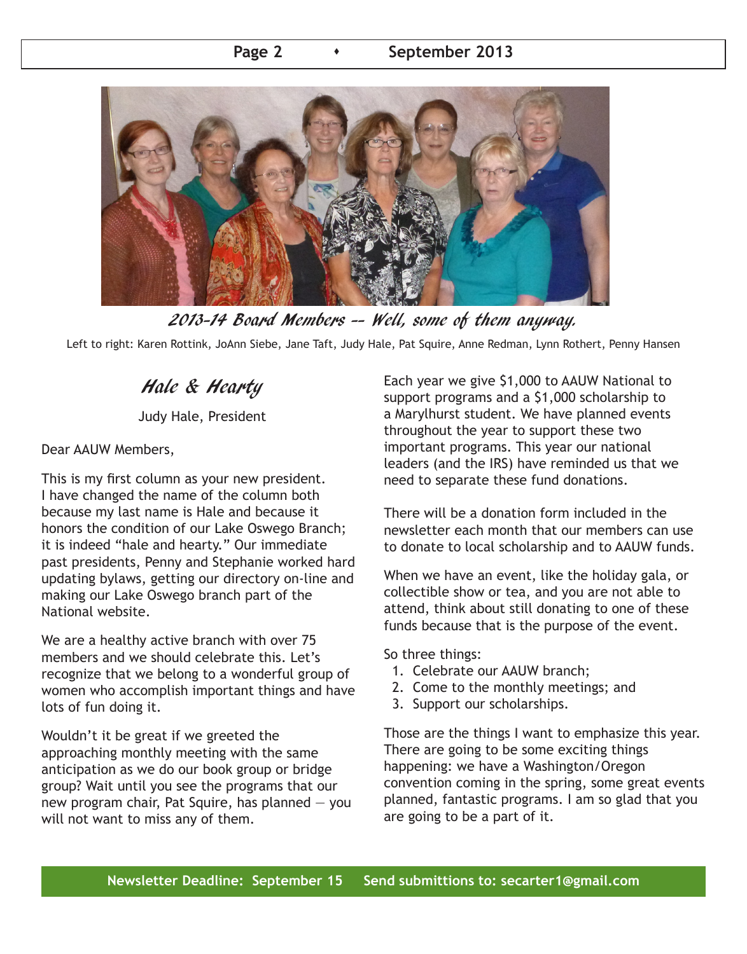

2013-14 Board Members -- Well, some of them anyway.

Left to right: Karen Rottink, JoAnn Siebe, Jane Taft, Judy Hale, Pat Squire, Anne Redman, Lynn Rothert, Penny Hansen

## Hale & Hearty

Judy Hale, President

Dear AAUW Members,

This is my first column as your new president. I have changed the name of the column both because my last name is Hale and because it honors the condition of our Lake Oswego Branch; it is indeed "hale and hearty." Our immediate past presidents, Penny and Stephanie worked hard updating bylaws, getting our directory on-line and making our Lake Oswego branch part of the National website.

We are a healthy active branch with over 75 members and we should celebrate this. Let's recognize that we belong to a wonderful group of women who accomplish important things and have lots of fun doing it.

Wouldn't it be great if we greeted the approaching monthly meeting with the same anticipation as we do our book group or bridge group? Wait until you see the programs that our new program chair, Pat Squire, has planned  $-$  you will not want to miss any of them.

Each year we give \$1,000 to AAUW National to support programs and a \$1,000 scholarship to a Marylhurst student. We have planned events throughout the year to support these two important programs. This year our national leaders (and the IRS) have reminded us that we need to separate these fund donations.

There will be a donation form included in the newsletter each month that our members can use to donate to local scholarship and to AAUW funds.

When we have an event, like the holiday gala, or collectible show or tea, and you are not able to attend, think about still donating to one of these funds because that is the purpose of the event.

So three things:

- 1. Celebrate our AAUW branch;
- 2. Come to the monthly meetings; and
- 3. Support our scholarships.

Those are the things I want to emphasize this year. There are going to be some exciting things happening: we have a Washington/Oregon convention coming in the spring, some great events planned, fantastic programs. I am so glad that you are going to be a part of it.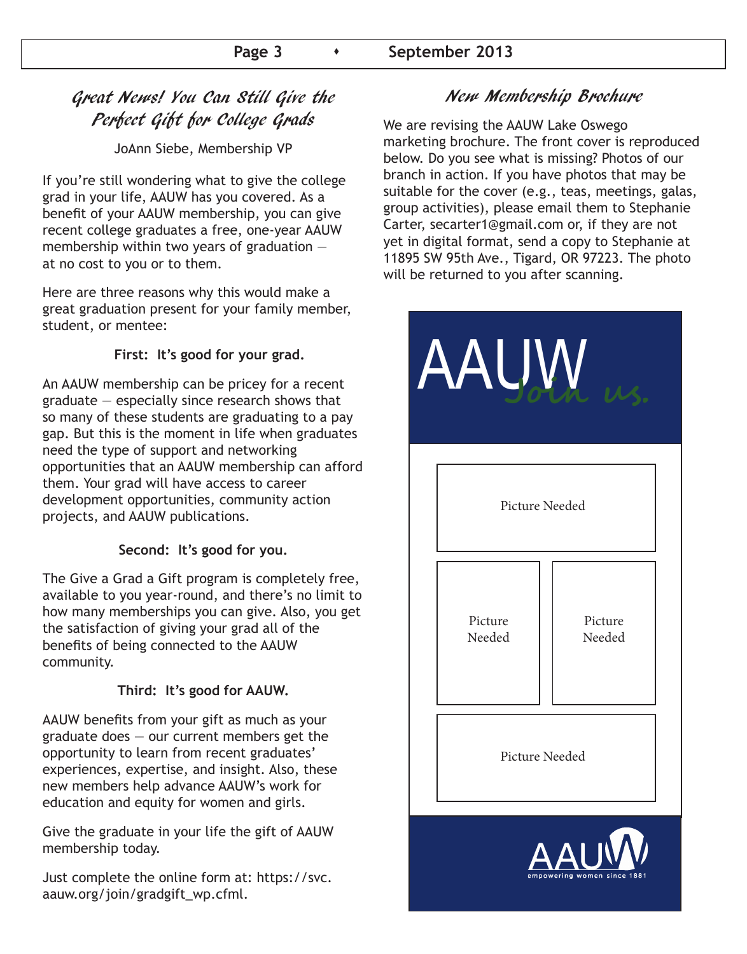### Great News! You Can Still Give the Perfect Gift for College Grads

JoAnn Siebe, Membership VP

If you're still wondering what to give the college grad in your life, AAUW has you covered. As a benefit of your AAUW membership, you can give recent college graduates a free, one-year AAUW membership within two years of graduation at no cost to you or to them.

Here are three reasons why this would make a great graduation present for your family member, student, or mentee:

### **First: It's good for your grad.**

An AAUW membership can be pricey for a recent graduate — especially since research shows that so many of these students are graduating to a pay gap. But this is the moment in life when graduates need the type of support and networking opportunities that an AAUW membership can afford them. Your grad will have access to career development opportunities, community action projects, and AAUW publications.

#### **Second: It's good for you.**

The Give a Grad a Gift program is completely free, available to you year-round, and there's no limit to how many memberships you can give. Also, you get the satisfaction of giving your grad all of the benefits of being connected to the AAUW community.

### **Third: It's good for AAUW.**

AAUW benefits from your gift as much as your graduate does  $-$  our current members get the opportunity to learn from recent graduates' experiences, expertise, and insight. Also, these new members help advance AAUW's work for education and equity for women and girls.

Give the graduate in your life the gift of AAUW membership today.

Just complete the online form at: https://svc. aauw.org/join/gradgift\_wp.cfml.

### New Membership Brochure

We are revising the AAUW Lake Oswego marketing brochure. The front cover is reproduced below. Do you see what is missing? Photos of our branch in action. If you have photos that may be suitable for the cover (e.g., teas, meetings, galas, group activities), please email them to Stephanie Carter, secarter1@gmail.com or, if they are not yet in digital format, send a copy to Stephanie at 11895 SW 95th Ave., Tigard, OR 97223. The photo will be returned to you after scanning.

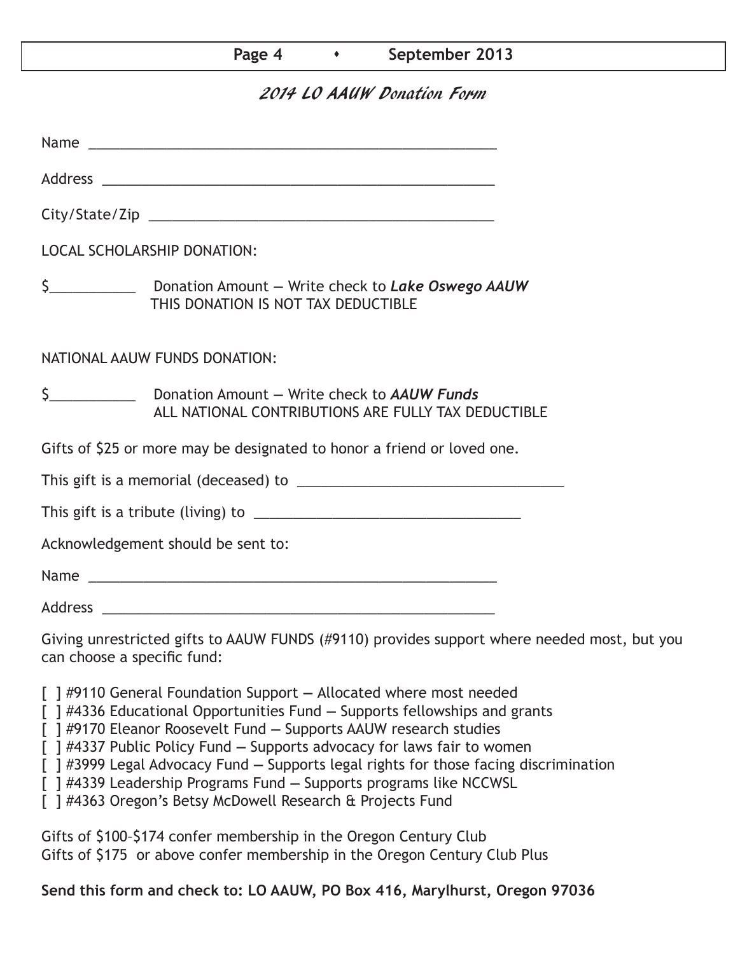### Page 4 **b September 2013**

### 2014 LO AAUW Donation Form

| <b>LOCAL SCHOLARSHIP DONATION:</b>                                                                                         |  |  |  |  |  |
|----------------------------------------------------------------------------------------------------------------------------|--|--|--|--|--|
| THIS DONATION IS NOT TAX DEDUCTIBLE                                                                                        |  |  |  |  |  |
| NATIONAL AAUW FUNDS DONATION:                                                                                              |  |  |  |  |  |
| ALL NATIONAL CONTRIBUTIONS ARE FULLY TAX DEDUCTIBLE                                                                        |  |  |  |  |  |
| Gifts of \$25 or more may be designated to honor a friend or loved one.                                                    |  |  |  |  |  |
|                                                                                                                            |  |  |  |  |  |
|                                                                                                                            |  |  |  |  |  |
| Acknowledgement should be sent to:                                                                                         |  |  |  |  |  |
|                                                                                                                            |  |  |  |  |  |
|                                                                                                                            |  |  |  |  |  |
| Giving unrestricted gifts to AAUW FUNDS (#9110) provides support where needed most, but you<br>can choose a specific fund: |  |  |  |  |  |

- [ ] #9110 General Foundation Support Allocated where most needed
- [ ] #4336 Educational Opportunities Fund Supports fellowships and grants
- [ ] #9170 Eleanor Roosevelt Fund Supports AAUW research studies
- [ ] #4337 Public Policy Fund Supports advocacy for laws fair to women
- [ ] #3999 Legal Advocacy Fund Supports legal rights for those facing discrimination
- [ ] #4339 Leadership Programs Fund Supports programs like NCCWSL
- [ ] #4363 Oregon's Betsy McDowell Research & Projects Fund

Gifts of \$100–\$174 confer membership in the Oregon Century Club Gifts of \$175 or above confer membership in the Oregon Century Club Plus

### **Send this form and check to: LO AAUW, PO Box 416, Marylhurst, Oregon 97036**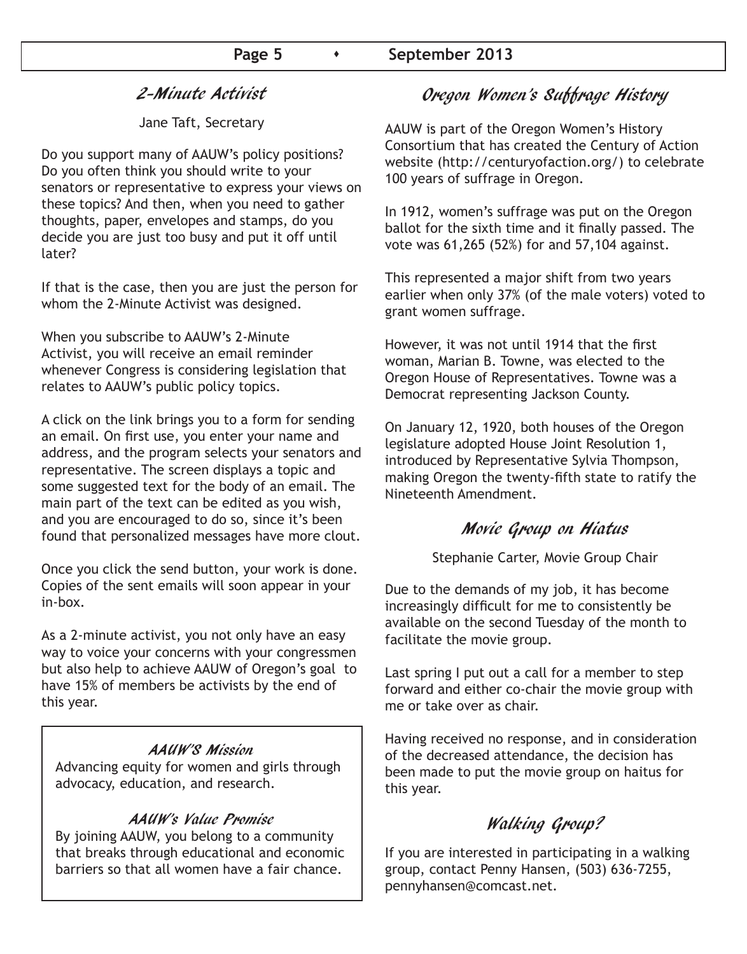### 2-Minute Activist

Jane Taft, Secretary

Do you support many of AAUW's policy positions? Do you often think you should write to your senators or representative to express your views on these topics? And then, when you need to gather thoughts, paper, envelopes and stamps, do you decide you are just too busy and put it off until later?

If that is the case, then you are just the person for whom the 2-Minute Activist was designed.

When you subscribe to AAUW's 2-Minute Activist, you will receive an email reminder whenever Congress is considering legislation that relates to AAUW's public policy topics.

A click on the link brings you to a form for sending an email. On first use, you enter your name and address, and the program selects your senators and representative. The screen displays a topic and some suggested text for the body of an email. The main part of the text can be edited as you wish, and you are encouraged to do so, since it's been found that personalized messages have more clout.

Once you click the send button, your work is done. Copies of the sent emails will soon appear in your in-box.

As a 2-minute activist, you not only have an easy way to voice your concerns with your congressmen but also help to achieve AAUW of Oregon's goal to have 15% of members be activists by the end of this year.

### AAUW'S Mission

Advancing equity for women and girls through advocacy, education, and research.

### AAUW's Value Promise

By joining AAUW, you belong to a community that breaks through educational and economic barriers so that all women have a fair chance.

### Oregon Women's Suffrage History

AAUW is part of the Oregon Women's History Consortium that has created the Century of Action website (http://centuryofaction.org/) to celebrate 100 years of suffrage in Oregon.

In 1912, women's suffrage was put on the Oregon ballot for the sixth time and it finally passed. The vote was 61,265 (52%) for and 57,104 against.

This represented a major shift from two years earlier when only 37% (of the male voters) voted to grant women suffrage.

However, it was not until 1914 that the first woman, Marian B. Towne, was elected to the Oregon House of Representatives. Towne was a Democrat representing Jackson County.

On January 12, 1920, both houses of the Oregon legislature adopted House Joint Resolution 1, introduced by Representative Sylvia Thompson, making Oregon the twenty-fifth state to ratify the Nineteenth Amendment.

### Movie Group on Hiatus

Stephanie Carter, Movie Group Chair

Due to the demands of my job, it has become increasingly difficult for me to consistently be available on the second Tuesday of the month to facilitate the movie group.

Last spring I put out a call for a member to step forward and either co-chair the movie group with me or take over as chair.

Having received no response, and in consideration of the decreased attendance, the decision has been made to put the movie group on haitus for this year.

### Walking Group?

If you are interested in participating in a walking group, contact Penny Hansen, (503) 636-7255, pennyhansen@comcast.net.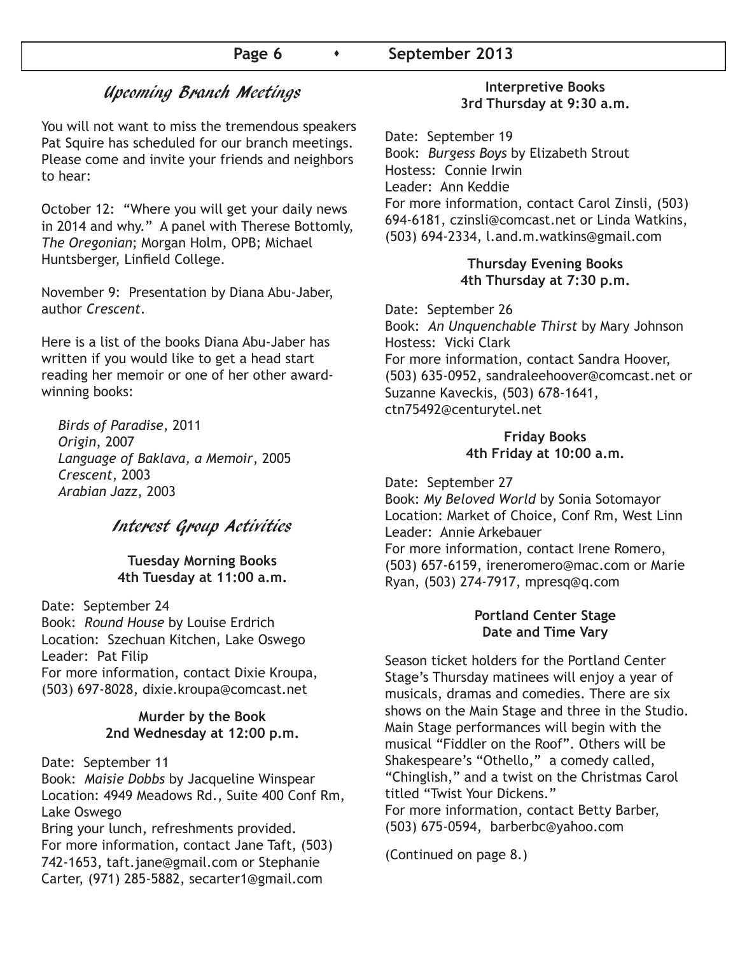### Page 6  $\longrightarrow$  September 2013

### Upcoming Branch Meetings

You will not want to miss the tremendous speakers Pat Squire has scheduled for our branch meetings. Please come and invite your friends and neighbors to hear:

October 12: "Where you will get your daily news in 2014 and why." A panel with Therese Bottomly, *The Oregonian*; Morgan Holm, OPB; Michael Huntsberger, Linfield College.

November 9: Presentation by Diana Abu-Jaber, author *Crescent*.

Here is a list of the books Diana Abu-Jaber has written if you would like to get a head start reading her memoir or one of her other awardwinning books:

 *Birds of Paradise*, 2011 *Origin*, 2007 *Language of Baklava, a Memoir*, 2005 *Crescent*, 2003 *Arabian Jazz*, 2003

### Interest Group Activities

#### **Tuesday Morning Books 4th Tuesday at 11:00 a.m.**

Date: September 24 Book: *Round House* by Louise Erdrich Location: Szechuan Kitchen, Lake Oswego Leader: Pat Filip For more information, contact Dixie Kroupa, (503) 697-8028, dixie.kroupa@comcast.net

#### **Murder by the Book 2nd Wednesday at 12:00 p.m.**

Date: September 11

Book: *Maisie Dobbs* by Jacqueline Winspear Location: 4949 Meadows Rd., Suite 400 Conf Rm, Lake Oswego

Bring your lunch, refreshments provided. For more information, contact Jane Taft, (503) 742-1653, taft.jane@gmail.com or Stephanie Carter, (971) 285-5882, secarter1@gmail.com

### **Interpretive Books 3rd Thursday at 9:30 a.m.**

Date: September 19 Book: *Burgess Boys* by Elizabeth Strout Hostess: Connie Irwin Leader: Ann Keddie For more information, contact Carol Zinsli, (503) 694-6181, czinsli@comcast.net or Linda Watkins, (503) 694-2334, l.and.m.watkins@gmail.com

#### **Thursday Evening Books 4th Thursday at 7:30 p.m.**

Date: September 26 Book: *An Unquenchable Thirst* by Mary Johnson Hostess: Vicki Clark For more information, contact Sandra Hoover, (503) 635-0952, sandraleehoover@comcast.net or Suzanne Kaveckis, (503) 678-1641, ctn75492@centurytel.net

#### **Friday Books 4th Friday at 10:00 a.m.**

Date: September 27 Book: *My Beloved World* by Sonia Sotomayor Location: Market of Choice, Conf Rm, West Linn Leader: Annie Arkebauer For more information, contact Irene Romero, (503) 657-6159, ireneromero@mac.com or Marie Ryan, (503) 274-7917, mpresq@q.com

#### **Portland Center Stage Date and Time Vary**

Season ticket holders for the Portland Center Stage's Thursday matinees will enjoy a year of musicals, dramas and comedies. There are six shows on the Main Stage and three in the Studio. Main Stage performances will begin with the musical "Fiddler on the Roof". Others will be Shakespeare's "Othello," a comedy called, "Chinglish," and a twist on the Christmas Carol titled "Twist Your Dickens." For more information, contact Betty Barber, (503) 675-0594, barberbc@yahoo.com

(Continued on page 8.)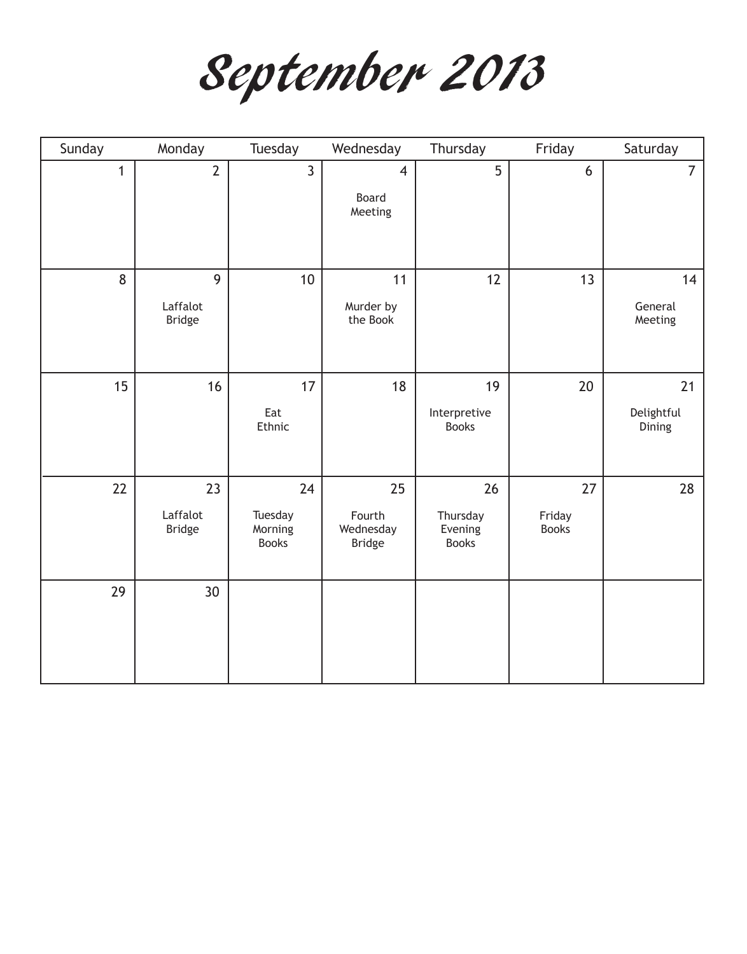September 2013

| Sunday       | Monday                          | Tuesday                                  | Wednesday                                  | Thursday                                  | Friday                       | Saturday                   |
|--------------|---------------------------------|------------------------------------------|--------------------------------------------|-------------------------------------------|------------------------------|----------------------------|
| $\mathbf{1}$ | $\overline{2}$                  | $\overline{3}$                           | $\overline{4}$<br>Board<br>Meeting         | 5                                         | 6                            | $\overline{7}$             |
| 8            | 9<br>Laffalot<br><b>Bridge</b>  | 10                                       | 11<br>Murder by<br>the Book                | 12                                        | 13                           | 14<br>General<br>Meeting   |
| 15           | 16                              | 17<br>Eat<br>Ethnic                      | 18                                         | 19<br>Interpretive<br><b>Books</b>        | 20                           | 21<br>Delightful<br>Dining |
| 22           | 23<br>Laffalot<br><b>Bridge</b> | 24<br>Tuesday<br>Morning<br><b>Books</b> | 25<br>Fourth<br>Wednesday<br><b>Bridge</b> | 26<br>Thursday<br>Evening<br><b>Books</b> | 27<br>Friday<br><b>Books</b> | 28                         |
| 29           | 30                              |                                          |                                            |                                           |                              |                            |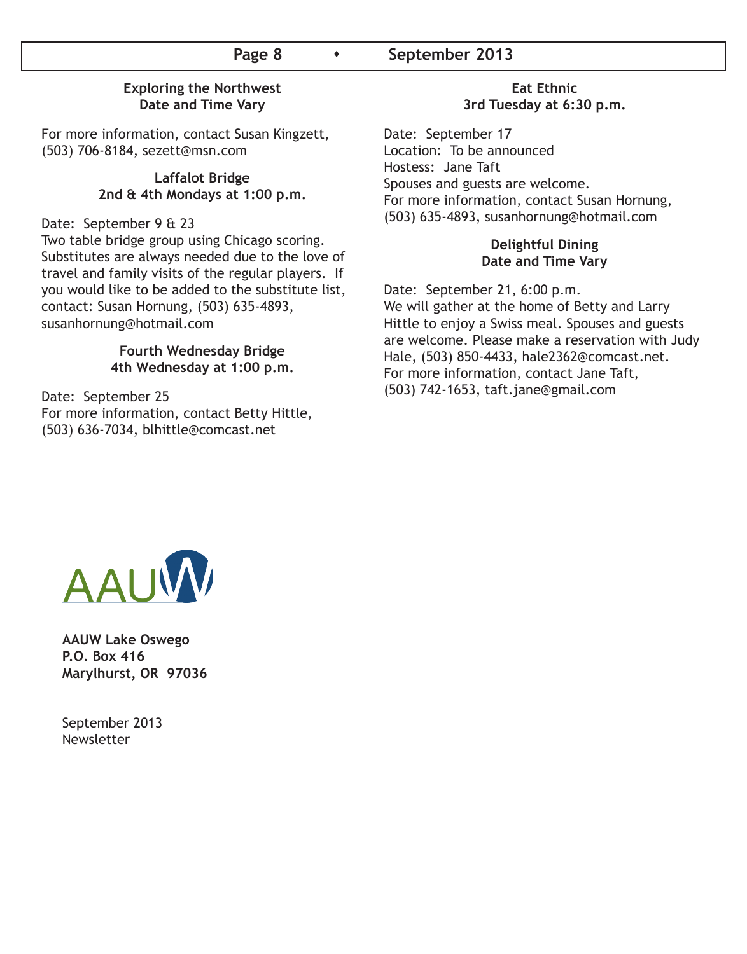### Page 8  $\longrightarrow$  September 2013

#### **Exploring the Northwest Date and Time Vary**

For more information, contact Susan Kingzett, (503) 706-8184, sezett@msn.com

#### **Laffalot Bridge 2nd & 4th Mondays at 1:00 p.m.**

Date: September 9 & 23

Two table bridge group using Chicago scoring. Substitutes are always needed due to the love of travel and family visits of the regular players. If you would like to be added to the substitute list, contact: Susan Hornung, (503) 635-4893, susanhornung@hotmail.com

#### **Fourth Wednesday Bridge 4th Wednesday at 1:00 p.m.**

Date: September 25 For more information, contact Betty Hittle, (503) 636-7034, blhittle@comcast.net

#### **Eat Ethnic 3rd Tuesday at 6:30 p.m.**

Date: September 17 Location: To be announced Hostess: Jane Taft Spouses and guests are welcome. For more information, contact Susan Hornung, (503) 635-4893, susanhornung@hotmail.com

### **Delightful Dining Date and Time Vary**

Date: September 21, 6:00 p.m. We will gather at the home of Betty and Larry Hittle to enjoy a Swiss meal. Spouses and guests are welcome. Please make a reservation with Judy Hale, (503) 850-4433, hale2362@comcast.net. For more information, contact Jane Taft, (503) 742-1653, taft.jane@gmail.com



**AAUW Lake Oswego P.O. Box 416 Marylhurst, OR 97036**

September 2013 Newsletter